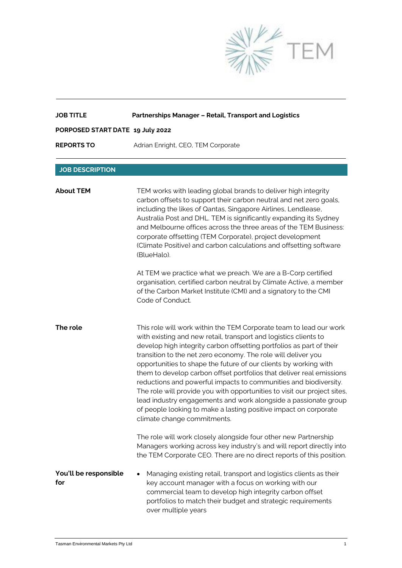

| <b>JOB TITLE</b>                 | Partnerships Manager - Retail, Transport and Logistics                                                                                                                                                                                                                                                                                                                                                                                                                                                                                                                                                                                                                                                                                            |
|----------------------------------|---------------------------------------------------------------------------------------------------------------------------------------------------------------------------------------------------------------------------------------------------------------------------------------------------------------------------------------------------------------------------------------------------------------------------------------------------------------------------------------------------------------------------------------------------------------------------------------------------------------------------------------------------------------------------------------------------------------------------------------------------|
| PORPOSED START DATE 19 July 2022 |                                                                                                                                                                                                                                                                                                                                                                                                                                                                                                                                                                                                                                                                                                                                                   |
| <b>REPORTS TO</b>                | Adrian Enright, CEO, TEM Corporate                                                                                                                                                                                                                                                                                                                                                                                                                                                                                                                                                                                                                                                                                                                |
|                                  |                                                                                                                                                                                                                                                                                                                                                                                                                                                                                                                                                                                                                                                                                                                                                   |
| <b>JOB DESCRIPTION</b>           |                                                                                                                                                                                                                                                                                                                                                                                                                                                                                                                                                                                                                                                                                                                                                   |
| <b>About TEM</b>                 | TEM works with leading global brands to deliver high integrity<br>carbon offsets to support their carbon neutral and net zero goals,<br>including the likes of Qantas, Singapore Airlines, Lendlease,<br>Australia Post and DHL. TEM is significantly expanding its Sydney<br>and Melbourne offices across the three areas of the TEM Business:<br>corporate offsetting (TEM Corporate), project development<br>(Climate Positive) and carbon calculations and offsetting software<br>(BlueHalo).                                                                                                                                                                                                                                                 |
|                                  | At TEM we practice what we preach. We are a B-Corp certified<br>organisation, certified carbon neutral by Climate Active, a member<br>of the Carbon Market Institute (CMI) and a signatory to the CMI<br>Code of Conduct.                                                                                                                                                                                                                                                                                                                                                                                                                                                                                                                         |
| The role                         | This role will work within the TEM Corporate team to lead our work<br>with existing and new retail, transport and logistics clients to<br>develop high integrity carbon offsetting portfolios as part of their<br>transition to the net zero economy. The role will deliver you<br>opportunities to shape the future of our clients by working with<br>them to develop carbon offset portfolios that deliver real emissions<br>reductions and powerful impacts to communities and biodiversity.<br>The role will provide you with opportunities to visit our project sites,<br>lead industry engagements and work alongside a passionate group<br>of people looking to make a lasting positive impact on corporate<br>climate change commitments. |
|                                  | The role will work closely alongside four other new Partnership<br>Managers working across key industry's and will report directly into<br>the TEM Corporate CEO. There are no direct reports of this position.                                                                                                                                                                                                                                                                                                                                                                                                                                                                                                                                   |
| You'll be responsible<br>for     | Managing existing retail, transport and logistics clients as their<br>key account manager with a focus on working with our<br>commercial team to develop high integrity carbon offset<br>portfolios to match their budget and strategic requirements<br>over multiple years                                                                                                                                                                                                                                                                                                                                                                                                                                                                       |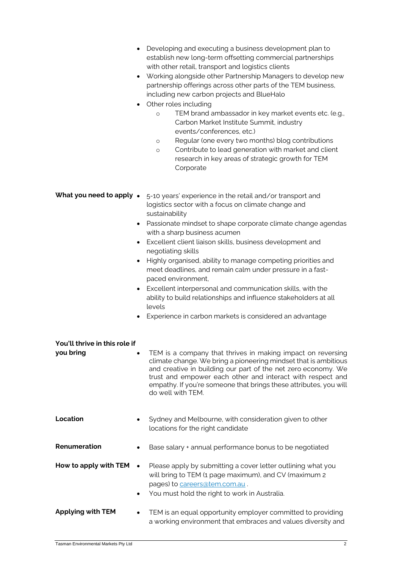| ٠                                          | Developing and executing a business development plan to<br>establish new long-term offsetting commercial partnerships<br>with other retail, transport and logistics clients<br>Working alongside other Partnership Managers to develop new<br>partnership offerings across other parts of the TEM business,<br>including new carbon projects and BlueHalo<br>Other roles including<br>TEM brand ambassador in key market events etc. (e.g.,<br>$\circ$<br>Carbon Market Institute Summit, industry<br>events/conferences, etc.)<br>Regular (one every two months) blog contributions<br>$\circ$<br>Contribute to lead generation with market and client<br>$\circ$<br>research in key areas of strategic growth for TEM<br>Corporate |
|--------------------------------------------|--------------------------------------------------------------------------------------------------------------------------------------------------------------------------------------------------------------------------------------------------------------------------------------------------------------------------------------------------------------------------------------------------------------------------------------------------------------------------------------------------------------------------------------------------------------------------------------------------------------------------------------------------------------------------------------------------------------------------------------|
| $\bullet$                                  | What you need to apply • 5-10 years' experience in the retail and/or transport and<br>logistics sector with a focus on climate change and<br>sustainability<br>• Passionate mindset to shape corporate climate change agendas<br>with a sharp business acumen<br>Excellent client liaison skills, business development and<br>negotiating skills<br>Highly organised, ability to manage competing priorities and<br>meet deadlines, and remain calm under pressure in a fast-<br>paced environment,<br>• Excellent interpersonal and communication skills, with the<br>ability to build relationships and influence stakeholders at all<br>levels<br>Experience in carbon markets is considered an advantage                         |
| You'll thrive in this role if<br>you bring | TEM is a company that thrives in making impact on reversing<br>climate change. We bring a pioneering mindset that is ambitious<br>and creative in building our part of the net zero economy. We<br>trust and empower each other and interact with respect and<br>empathy. If you're someone that brings these attributes, you will<br>do well with TEM.                                                                                                                                                                                                                                                                                                                                                                              |
| Location                                   | Sydney and Melbourne, with consideration given to other<br>locations for the right candidate                                                                                                                                                                                                                                                                                                                                                                                                                                                                                                                                                                                                                                         |
| Renumeration                               | Base salary + annual performance bonus to be negotiated                                                                                                                                                                                                                                                                                                                                                                                                                                                                                                                                                                                                                                                                              |
| How to apply with TEM<br>٠                 | Please apply by submitting a cover letter outlining what you<br>will bring to TEM (1 page maximum), and CV (maximum 2<br>pages) to careers@tem.com.au.<br>You must hold the right to work in Australia.                                                                                                                                                                                                                                                                                                                                                                                                                                                                                                                              |
| <b>Applying with TEM</b>                   | TEM is an equal opportunity employer committed to providing<br>a working environment that embraces and values diversity and                                                                                                                                                                                                                                                                                                                                                                                                                                                                                                                                                                                                          |